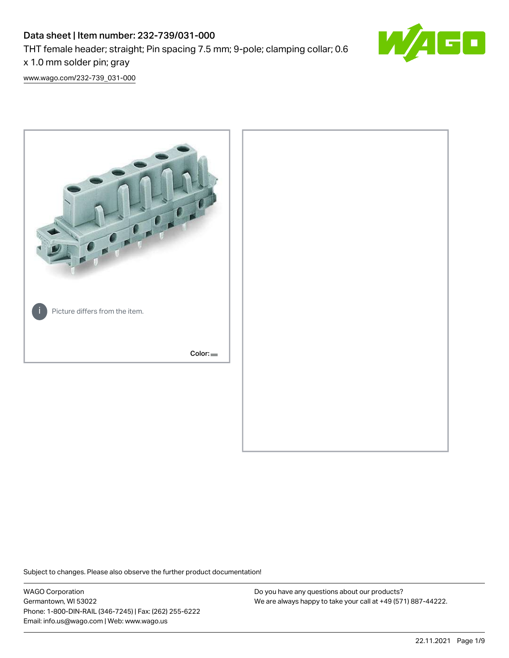# Data sheet | Item number: 232-739/031-000 THT female header; straight; Pin spacing 7.5 mm; 9-pole; clamping collar; 0.6 x 1.0 mm solder pin; gray



[www.wago.com/232-739\\_031-000](http://www.wago.com/232-739_031-000)



Subject to changes. Please also observe the further product documentation!

WAGO Corporation Germantown, WI 53022 Phone: 1-800-DIN-RAIL (346-7245) | Fax: (262) 255-6222 Email: info.us@wago.com | Web: www.wago.us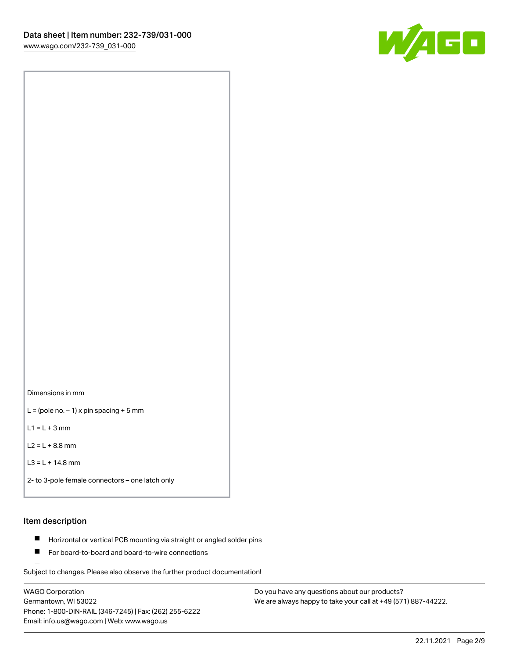

Dimensions in mm

 $L =$  (pole no.  $-1$ ) x pin spacing + 5 mm

 $L1 = L + 3$  mm

 $L2 = L + 8.8$  mm

```
L3 = L + 14.8 mm
```

```
2- to 3-pole female connectors – one latch only
```
# Item description

- **Horizontal or vertical PCB mounting via straight or angled solder pins**
- For board-to-board and board-to-wire connections

Subject to changes. Please also observe the further product documentation!

WAGO Corporation Germantown, WI 53022 Phone: 1-800-DIN-RAIL (346-7245) | Fax: (262) 255-6222 Email: info.us@wago.com | Web: www.wago.us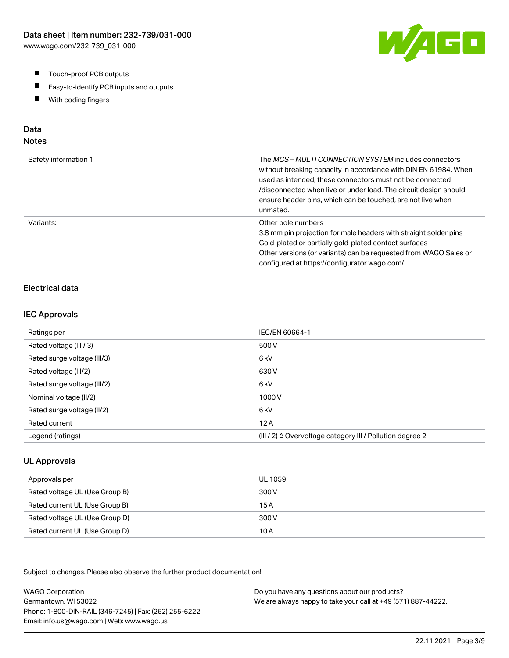- $\blacksquare$ Touch-proof PCB outputs
- $\blacksquare$ Easy-to-identify PCB inputs and outputs
- With coding fingers  $\blacksquare$

# Data

# Notes

| Safety information 1 | The <i>MCS – MULTI CONNECTION SYSTEM</i> includes connectors<br>without breaking capacity in accordance with DIN EN 61984. When<br>used as intended, these connectors must not be connected<br>/disconnected when live or under load. The circuit design should<br>ensure header pins, which can be touched, are not live when<br>unmated. |
|----------------------|--------------------------------------------------------------------------------------------------------------------------------------------------------------------------------------------------------------------------------------------------------------------------------------------------------------------------------------------|
| Variants:            | Other pole numbers<br>3.8 mm pin projection for male headers with straight solder pins<br>Gold-plated or partially gold-plated contact surfaces<br>Other versions (or variants) can be requested from WAGO Sales or<br>configured at https://configurator.wago.com/                                                                        |

## Electrical data

#### IEC Approvals

| Ratings per                 | IEC/EN 60664-1                                                       |
|-----------------------------|----------------------------------------------------------------------|
| Rated voltage (III / 3)     | 500 V                                                                |
| Rated surge voltage (III/3) | 6 <sub>kV</sub>                                                      |
| Rated voltage (III/2)       | 630 V                                                                |
| Rated surge voltage (III/2) | 6 <sub>k</sub> V                                                     |
| Nominal voltage (II/2)      | 1000V                                                                |
| Rated surge voltage (II/2)  | 6 <sub>k</sub> V                                                     |
| Rated current               | 12A                                                                  |
| Legend (ratings)            | (III / 2) $\triangleq$ Overvoltage category III / Pollution degree 2 |

## UL Approvals

| Approvals per                  | UL 1059 |
|--------------------------------|---------|
| Rated voltage UL (Use Group B) | 300 V   |
| Rated current UL (Use Group B) | 15 A    |
| Rated voltage UL (Use Group D) | 300 V   |
| Rated current UL (Use Group D) | 10 A    |

Subject to changes. Please also observe the further product documentation!

WAGO Corporation Germantown, WI 53022 Phone: 1-800-DIN-RAIL (346-7245) | Fax: (262) 255-6222 Email: info.us@wago.com | Web: www.wago.us Do you have any questions about our products? We are always happy to take your call at +49 (571) 887-44222.

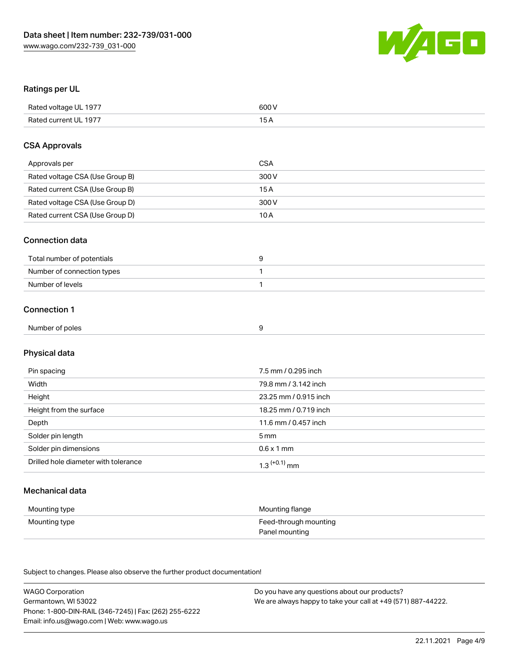

## Ratings per UL

| Rated voltage UL 1977 | 600 V |
|-----------------------|-------|
| Rated current UL 1977 |       |

## CSA Approvals

| Approvals per                   | CSA   |
|---------------------------------|-------|
| Rated voltage CSA (Use Group B) | 300 V |
| Rated current CSA (Use Group B) | 15 A  |
| Rated voltage CSA (Use Group D) | 300 V |
| Rated current CSA (Use Group D) | 10 A  |

## Connection data

| Total number of potentials |  |
|----------------------------|--|
| Number of connection types |  |
| Number of levels           |  |

## Connection 1

| Number of poles |  |
|-----------------|--|
|                 |  |

# Physical data

| Pin spacing                          | 7.5 mm / 0.295 inch        |
|--------------------------------------|----------------------------|
| Width                                | 79.8 mm / 3.142 inch       |
| Height                               | 23.25 mm / 0.915 inch      |
| Height from the surface              | 18.25 mm / 0.719 inch      |
| Depth                                | 11.6 mm / 0.457 inch       |
| Solder pin length                    | 5 mm                       |
| Solder pin dimensions                | $0.6 \times 1$ mm          |
| Drilled hole diameter with tolerance | $1.3$ <sup>(+0.1)</sup> mm |

## Mechanical data

| Mounting type | Mounting flange       |
|---------------|-----------------------|
| Mounting type | Feed-through mounting |
|               | Panel mounting        |

Subject to changes. Please also observe the further product documentation!

| <b>WAGO Corporation</b>                                | Do you have any questions about our products?                 |
|--------------------------------------------------------|---------------------------------------------------------------|
| Germantown, WI 53022                                   | We are always happy to take your call at +49 (571) 887-44222. |
| Phone: 1-800-DIN-RAIL (346-7245)   Fax: (262) 255-6222 |                                                               |
| Email: info.us@wago.com   Web: www.wago.us             |                                                               |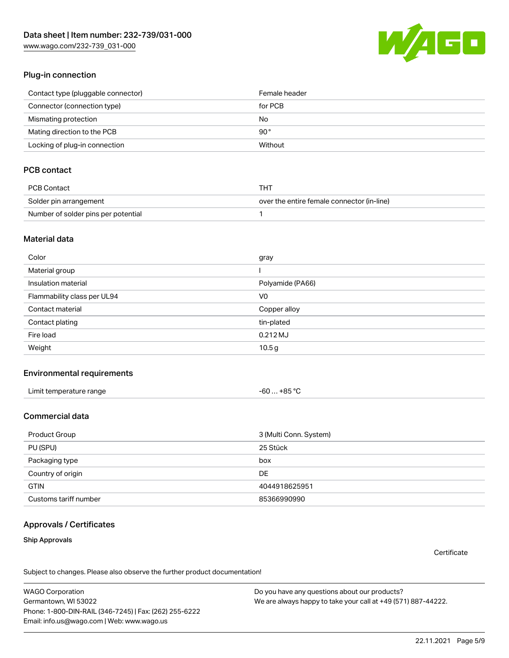[www.wago.com/232-739\\_031-000](http://www.wago.com/232-739_031-000)



## Plug-in connection

| Contact type (pluggable connector) | Female header |
|------------------------------------|---------------|
| Connector (connection type)        | for PCB       |
| Mismating protection               | No            |
| Mating direction to the PCB        | 90°           |
| Locking of plug-in connection      | Without       |

## PCB contact

| PCB Contact                         | THT                                        |
|-------------------------------------|--------------------------------------------|
| Solder pin arrangement              | over the entire female connector (in-line) |
| Number of solder pins per potential |                                            |

#### Material data

| Color                       | gray              |
|-----------------------------|-------------------|
| Material group              |                   |
| Insulation material         | Polyamide (PA66)  |
| Flammability class per UL94 | V <sub>0</sub>    |
| Contact material            | Copper alloy      |
| Contact plating             | tin-plated        |
| Fire load                   | $0.212$ MJ        |
| Weight                      | 10.5 <sub>g</sub> |

#### Environmental requirements

| Limit temperature range | -60  +85 °C |
|-------------------------|-------------|
|-------------------------|-------------|

## Commercial data

| Product Group         | 3 (Multi Conn. System) |
|-----------------------|------------------------|
| PU (SPU)              | 25 Stück               |
| Packaging type        | box                    |
| Country of origin     | DE                     |
| <b>GTIN</b>           | 4044918625951          |
| Customs tariff number | 85366990990            |

#### Approvals / Certificates

#### Ship Approvals

**Certificate** 

Subject to changes. Please also observe the further product documentation!

WAGO Corporation Germantown, WI 53022 Phone: 1-800-DIN-RAIL (346-7245) | Fax: (262) 255-6222 Email: info.us@wago.com | Web: www.wago.us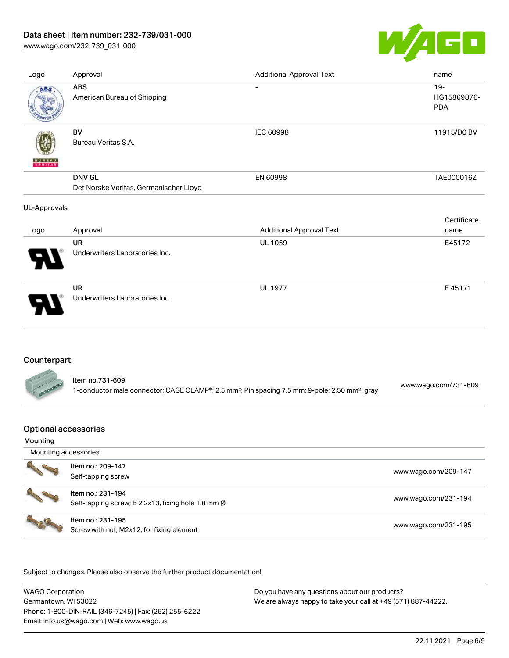[www.wago.com/232-739\\_031-000](http://www.wago.com/232-739_031-000)



| Logo                | Approval                                                | <b>Additional Approval Text</b> | name                                |
|---------------------|---------------------------------------------------------|---------------------------------|-------------------------------------|
| ABS                 | <b>ABS</b><br>American Bureau of Shipping               | $\overline{\phantom{a}}$        | $19 -$<br>HG15869876-<br><b>PDA</b> |
| <b>WERLTAS</b>      | BV<br>Bureau Veritas S.A.                               | IEC 60998                       | 11915/D0 BV                         |
|                     | <b>DNV GL</b><br>Det Norske Veritas, Germanischer Lloyd | EN 60998                        | TAE000016Z                          |
| <b>UL-Approvals</b> |                                                         |                                 |                                     |
|                     |                                                         |                                 |                                     |
|                     |                                                         |                                 | Certificate                         |
| Logo                | Approval                                                | <b>Additional Approval Text</b> | name                                |
|                     | <b>UR</b>                                               | <b>UL 1059</b>                  | E45172                              |
|                     | Underwriters Laboratories Inc.                          |                                 |                                     |

## Counterpart

|              | ltem no.731-609                                                                                                        | www.wago.com/731-609 |
|--------------|------------------------------------------------------------------------------------------------------------------------|----------------------|
| <b>ALAND</b> | 1-conductor male connector; CAGE CLAMP®; 2.5 mm <sup>2</sup> ; Pin spacing 7.5 mm; 9-pole; 2,50 mm <sup>2</sup> ; gray |                      |

## Optional accessories

#### Mounting

| Mounting accessories          |                                                                         |                      |
|-------------------------------|-------------------------------------------------------------------------|----------------------|
|                               | Item no.: 209-147<br>Self-tapping screw                                 | www.wago.com/209-147 |
|                               | Item no.: 231-194<br>Self-tapping screw; B 2.2x13, fixing hole 1.8 mm Ø | www.wago.com/231-194 |
| The Company of the Company of | Item no.: 231-195<br>Screw with nut; M2x12; for fixing element          | www.wago.com/231-195 |

Subject to changes. Please also observe the further product documentation!

WAGO Corporation Germantown, WI 53022 Phone: 1-800-DIN-RAIL (346-7245) | Fax: (262) 255-6222 Email: info.us@wago.com | Web: www.wago.us Do you have any questions about our products? We are always happy to take your call at +49 (571) 887-44222.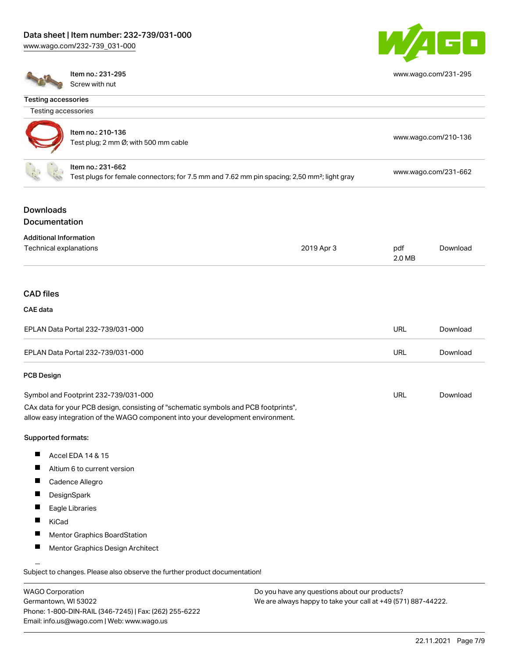[www.wago.com/232-739\\_031-000](http://www.wago.com/232-739_031-000)



[www.wago.com/231-295](http://www.wago.com/231-295)

Item no.: 231-295 Screw with nut

| <b>Testing accessories</b>                              |                                                                                                                                                                        |                                               |               |                      |
|---------------------------------------------------------|------------------------------------------------------------------------------------------------------------------------------------------------------------------------|-----------------------------------------------|---------------|----------------------|
| Testing accessories                                     |                                                                                                                                                                        |                                               |               |                      |
|                                                         | Item no.: 210-136<br>Test plug; 2 mm Ø; with 500 mm cable                                                                                                              |                                               |               | www.wago.com/210-136 |
|                                                         | Item no.: 231-662<br>Test plugs for female connectors; for 7.5 mm and 7.62 mm pin spacing; 2,50 mm <sup>2</sup> ; light gray                                           |                                               |               | www.wago.com/231-662 |
| <b>Downloads</b><br>Documentation                       |                                                                                                                                                                        |                                               |               |                      |
| <b>Additional Information</b><br>Technical explanations |                                                                                                                                                                        | 2019 Apr 3                                    | pdf<br>2.0 MB | Download             |
| <b>CAD files</b>                                        |                                                                                                                                                                        |                                               |               |                      |
| <b>CAE</b> data                                         |                                                                                                                                                                        |                                               |               |                      |
|                                                         | EPLAN Data Portal 232-739/031-000                                                                                                                                      |                                               | <b>URL</b>    | Download             |
|                                                         | EPLAN Data Portal 232-739/031-000                                                                                                                                      |                                               | <b>URL</b>    | Download             |
| <b>PCB Design</b>                                       |                                                                                                                                                                        |                                               |               |                      |
|                                                         | Symbol and Footprint 232-739/031-000                                                                                                                                   |                                               | <b>URL</b>    | Download             |
|                                                         | CAx data for your PCB design, consisting of "schematic symbols and PCB footprints",<br>allow easy integration of the WAGO component into your development environment. |                                               |               |                      |
| Supported formats:                                      |                                                                                                                                                                        |                                               |               |                      |
| $\blacksquare$                                          | Accel EDA 14 & 15                                                                                                                                                      |                                               |               |                      |
| ш                                                       | Altium 6 to current version                                                                                                                                            |                                               |               |                      |
|                                                         | Cadence Allegro                                                                                                                                                        |                                               |               |                      |
| п                                                       | DesignSpark                                                                                                                                                            |                                               |               |                      |
|                                                         | Eagle Libraries                                                                                                                                                        |                                               |               |                      |
| KiCad                                                   |                                                                                                                                                                        |                                               |               |                      |
|                                                         | Mentor Graphics BoardStation                                                                                                                                           |                                               |               |                      |
| a ka                                                    | Mentor Graphics Design Architect                                                                                                                                       |                                               |               |                      |
|                                                         | Subject to changes. Please also observe the further product documentation!                                                                                             |                                               |               |                      |
| <b>WAGO Corporation</b>                                 |                                                                                                                                                                        | Do you have any questions about our products? |               |                      |

Germantown, WI 53022 Phone: 1-800-DIN-RAIL (346-7245) | Fax: (262) 255-6222 Email: info.us@wago.com | Web: www.wago.us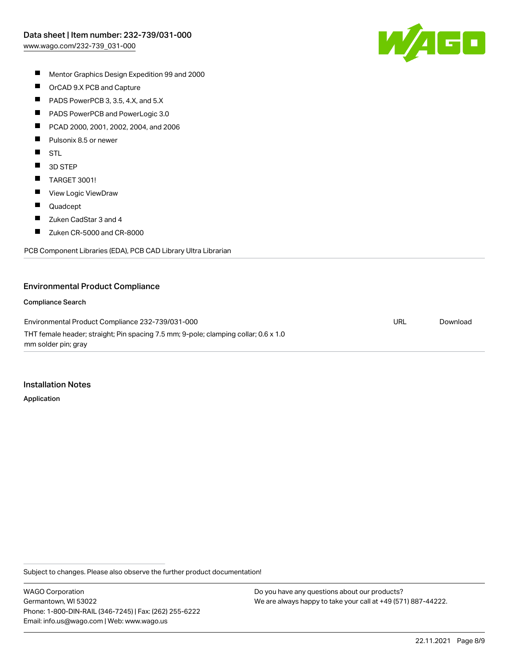

- $\blacksquare$ Mentor Graphics Design Expedition 99 and 2000
- $\blacksquare$ OrCAD 9.X PCB and Capture
- $\blacksquare$ PADS PowerPCB 3, 3.5, 4.X, and 5.X
- $\blacksquare$ PADS PowerPCB and PowerLogic 3.0
- $\blacksquare$ PCAD 2000, 2001, 2002, 2004, and 2006
- $\blacksquare$ Pulsonix 8.5 or newer
- $\blacksquare$ STL
- $\blacksquare$ 3D STEP
- $\blacksquare$ TARGET 3001!
- $\blacksquare$ View Logic ViewDraw
- $\blacksquare$ Quadcept
- $\blacksquare$ Zuken CadStar 3 and 4
- $\blacksquare$ Zuken CR-5000 and CR-8000

PCB Component Libraries (EDA), PCB CAD Library Ultra Librarian

#### Environmental Product Compliance

#### Compliance Search

Environmental Product Compliance 232-739/031-000 THT female header; straight; Pin spacing 7.5 mm; 9-pole; clamping collar; 0.6 x 1.0 mm solder pin; gray URL [Download](https://www.wago.com/global/d/ComplianceLinkMediaContainer_232-739_031-000)

#### Installation Notes

Application

Subject to changes. Please also observe the further product documentation!

WAGO Corporation Germantown, WI 53022 Phone: 1-800-DIN-RAIL (346-7245) | Fax: (262) 255-6222 Email: info.us@wago.com | Web: www.wago.us